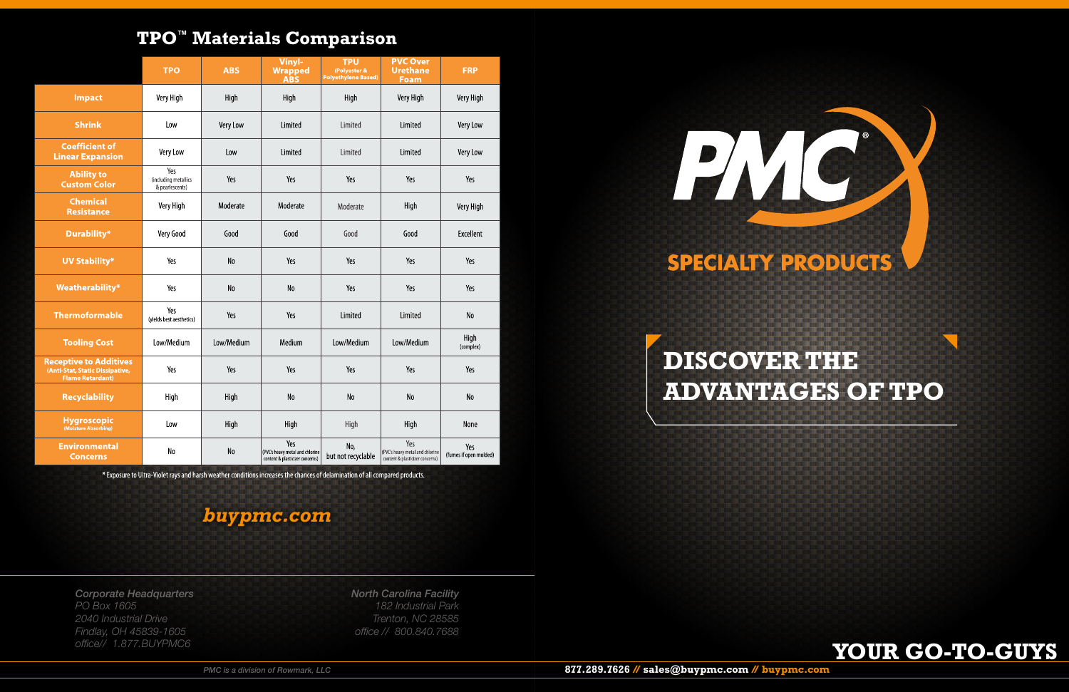

**YOUR GO-TO-GUYS**

*North Carolina Facility 182 Industrial Park Trenton, NC 28585 office // 800.840.7688*

*Corporate Headquarters PO Box 1605 2040 Industrial Drive Findlay, OH 45839-1605 office// 1.877.BUYPMC6*

*PMC is a division of Rowmark, LLC*

#### *buypmc.com*



\* Exposure to Ultra-Violet rays and harsh weather conditions increases the chances of delamination of all compared products.

# **ADVANTAGES OF TPO**

#### **TPO™ Materials Comparison**

|                                                                                             | <b>TPO</b>                                     | <b>ABS</b>     | <b>Vinyl-</b><br><b>Wrapped</b><br><b>ABS</b>                             | <b>TPU</b><br>(Polyester &<br><b>Polyethylene Based)</b> | <b>PVC Over</b><br><b>Urethane</b><br><b>Foam</b>                         | <b>FRP</b>                    |
|---------------------------------------------------------------------------------------------|------------------------------------------------|----------------|---------------------------------------------------------------------------|----------------------------------------------------------|---------------------------------------------------------------------------|-------------------------------|
| Impact                                                                                      | Very High                                      | High           | High                                                                      | High                                                     | Very High                                                                 | Very High                     |
| <b>Shrink</b>                                                                               | Low                                            | Very Low       | Limited                                                                   | Limited                                                  | Limited                                                                   | Very Low                      |
| <b>Coefficient of</b><br><b>Linear Expansion</b>                                            | Very Low                                       | Low            | Limited                                                                   | Limited                                                  | Limited                                                                   | Very Low                      |
| <b>Ability to</b><br><b>Custom Color</b>                                                    | Yes<br>(including metallics<br>& pearlescents) | Yes            | Yes                                                                       | Yes                                                      | Yes                                                                       | Yes                           |
| <b>Chemical</b><br><b>Resistance</b>                                                        | Very High                                      | Moderate       | Moderate                                                                  | Moderate                                                 | High                                                                      | Very High                     |
| <b>Durability*</b>                                                                          | Very Good                                      | Good           | Good                                                                      | Good                                                     | Good                                                                      | <b>Excellent</b>              |
| <b>UV Stability*</b>                                                                        | Yes                                            | N <sub>o</sub> | Yes                                                                       | Yes                                                      | Yes                                                                       | Yes                           |
| Weatherability*                                                                             | Yes                                            | N <sub>o</sub> | No                                                                        | Yes                                                      | Yes                                                                       | Yes                           |
| <b>Thermoformable</b>                                                                       | Yes<br>(yields best aesthetics)                | Yes            | Yes                                                                       | Limited                                                  | Limited                                                                   | N <sub>0</sub>                |
| <b>Tooling Cost</b>                                                                         | Low/Medium                                     | Low/Medium     | Medium                                                                    | Low/Medium                                               | Low/Medium                                                                | High<br>(complex)             |
| <b>Receptive to Additives</b><br>(Anti-Stat, Static Dissipative,<br><b>Flame Retardant)</b> | Yes                                            | Yes            | Yes                                                                       | Yes                                                      | Yes                                                                       | Yes                           |
| <b>Recyclability</b>                                                                        | High                                           | High           | No                                                                        | No                                                       | No                                                                        | No                            |
| <b>Hygroscopic</b><br>(Moisture Absorbing)                                                  | Low                                            | High           | High                                                                      | High                                                     | High                                                                      | None                          |
| <b>Environmental</b><br><b>Concerns</b>                                                     | No                                             | No             | Yes<br>(PVC's heavy metal and chlorine<br>content & plasticizer concerns) | No,<br>but not recyclable                                | Yes<br>(PVC's heavy metal and chlorine<br>content & plasticizer concerns) | Yes<br>(fumes if open molded) |

PMC